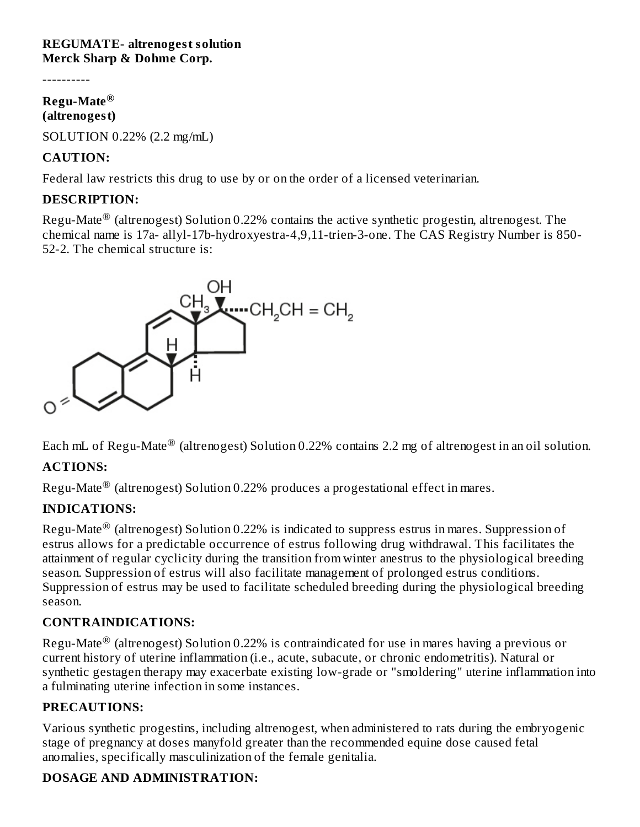#### **REGUMATE- altrenogest solution Merck Sharp & Dohme Corp.**

----------

## **Regu-Mate ® (altrenogest)**

SOLUTION 0.22% (2.2 mg/mL)

# **CAUTION:**

Federal law restricts this drug to use by or on the order of a licensed veterinarian.

# **DESCRIPTION:**

Regu-Mate $^\circledR$  (altrenogest) Solution 0.22% contains the active synthetic progestin, altrenogest. The chemical name is 17a- allyl-17b-hydroxyestra-4,9,11-trien-3-one. The CAS Registry Number is 850- 52-2. The chemical structure is:



Each mL of Regu-Mate $^\circledR$  (altrenogest) Solution 0.22% contains 2.2 mg of altrenogest in an oil solution.

# **ACTIONS:**

Regu-Mate $^\circledR$  (altrenogest) Solution 0.22% produces a progestational effect in mares.

# **INDICATIONS:**

Regu-Mate $^\circledR$  (altrenogest) Solution 0.22% is indicated to suppress estrus in mares. Suppression of estrus allows for a predictable occurrence of estrus following drug withdrawal. This facilitates the attainment of regular cyclicity during the transition from winter anestrus to the physiological breeding season. Suppression of estrus will also facilitate management of prolonged estrus conditions. Suppression of estrus may be used to facilitate scheduled breeding during the physiological breeding season.

# **CONTRAINDICATIONS:**

Regu-Mate $^\circledR$  (altrenogest) Solution 0.22% is contraindicated for use in mares having a previous or current history of uterine inflammation (i.e., acute, subacute, or chronic endometritis). Natural or synthetic gestagen therapy may exacerbate existing low-grade or "smoldering" uterine inflammation into a fulminating uterine infection in some instances.

## **PRECAUTIONS:**

Various synthetic progestins, including altrenogest, when administered to rats during the embryogenic stage of pregnancy at doses manyfold greater than the recommended equine dose caused fetal anomalies, specifically masculinization of the female genitalia.

# **DOSAGE AND ADMINISTRATION:**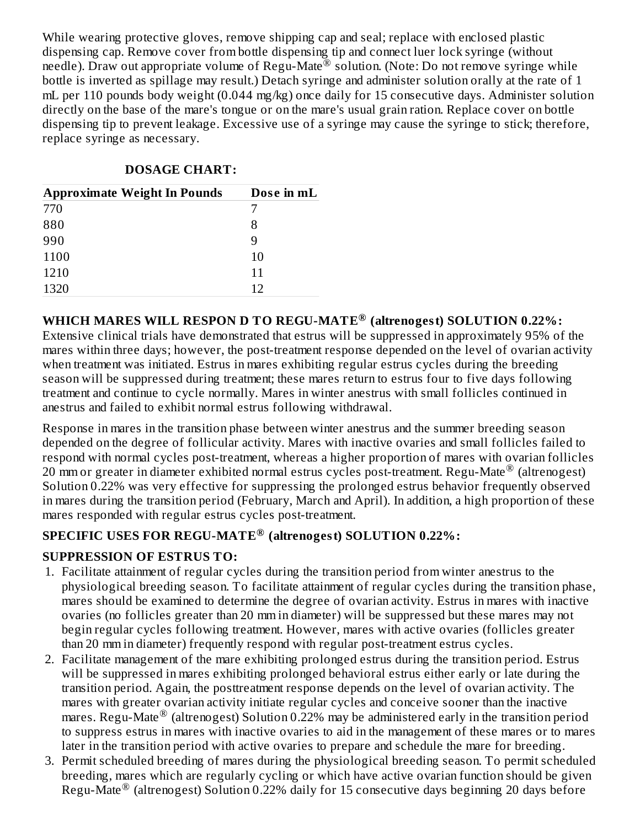While wearing protective gloves, remove shipping cap and seal; replace with enclosed plastic dispensing cap. Remove cover from bottle dispensing tip and connect luer lock syringe (without needle). Draw out appropriate volume of Regu-Mate<sup>®</sup> solution. (Note: Do not remove syringe while bottle is inverted as spillage may result.) Detach syringe and administer solution orally at the rate of 1 mL per 110 pounds body weight (0.044 mg/kg) once daily for 15 consecutive days. Administer solution directly on the base of the mare's tongue or on the mare's usual grain ration. Replace cover on bottle dispensing tip to prevent leakage. Excessive use of a syringe may cause the syringe to stick; therefore, replace syringe as necessary.

## **DOSAGE CHART:**

| <b>Approximate Weight In Pounds</b> | Dose in mL |
|-------------------------------------|------------|
| 770                                 |            |
| 880                                 | 8          |
| 990                                 | 9          |
| 1100                                | 10         |
| 1210                                | 11         |
| 1320                                | 12         |

# **WHICH MARES WILL RESPON D TO REGU-MATE (altrenogest) SOLUTION 0.22%: ®**

Extensive clinical trials have demonstrated that estrus will be suppressed in approximately 95% of the mares within three days; however, the post-treatment response depended on the level of ovarian activity when treatment was initiated. Estrus in mares exhibiting regular estrus cycles during the breeding season will be suppressed during treatment; these mares return to estrus four to five days following treatment and continue to cycle normally. Mares in winter anestrus with small follicles continued in anestrus and failed to exhibit normal estrus following withdrawal.

Response in mares in the transition phase between winter anestrus and the summer breeding season depended on the degree of follicular activity. Mares with inactive ovaries and small follicles failed to respond with normal cycles post-treatment, whereas a higher proportion of mares with ovarian follicles 20 mm or greater in diameter exhibited normal estrus cycles post-treatment. Regu-Mate® (altrenogest) Solution 0.22% was very effective for suppressing the prolonged estrus behavior frequently observed in mares during the transition period (February, March and April). In addition, a high proportion of these mares responded with regular estrus cycles post-treatment.

# **SPECIFIC USES FOR REGU-MATE (altrenogest) SOLUTION 0.22%: ®**

# **SUPPRESSION OF ESTRUS TO:**

- 1. Facilitate attainment of regular cycles during the transition period from winter anestrus to the physiological breeding season. To facilitate attainment of regular cycles during the transition phase, mares should be examined to determine the degree of ovarian activity. Estrus in mares with inactive ovaries (no follicles greater than 20 mm in diameter) will be suppressed but these mares may not begin regular cycles following treatment. However, mares with active ovaries (follicles greater than 20 mm in diameter) frequently respond with regular post-treatment estrus cycles.
- 2. Facilitate management of the mare exhibiting prolonged estrus during the transition period. Estrus will be suppressed in mares exhibiting prolonged behavioral estrus either early or late during the transition period. Again, the posttreatment response depends on the level of ovarian activity. The mares with greater ovarian activity initiate regular cycles and conceive sooner than the inactive mares. Regu-Mate® (altrenogest) Solution 0.22% may be administered early in the transition period to suppress estrus in mares with inactive ovaries to aid in the management of these mares or to mares later in the transition period with active ovaries to prepare and schedule the mare for breeding.
- 3. Permit scheduled breeding of mares during the physiological breeding season. To permit scheduled breeding, mares which are regularly cycling or which have active ovarian function should be given Regu-Mate® (altrenogest) Solution 0.22% daily for 15 consecutive days beginning 20 days before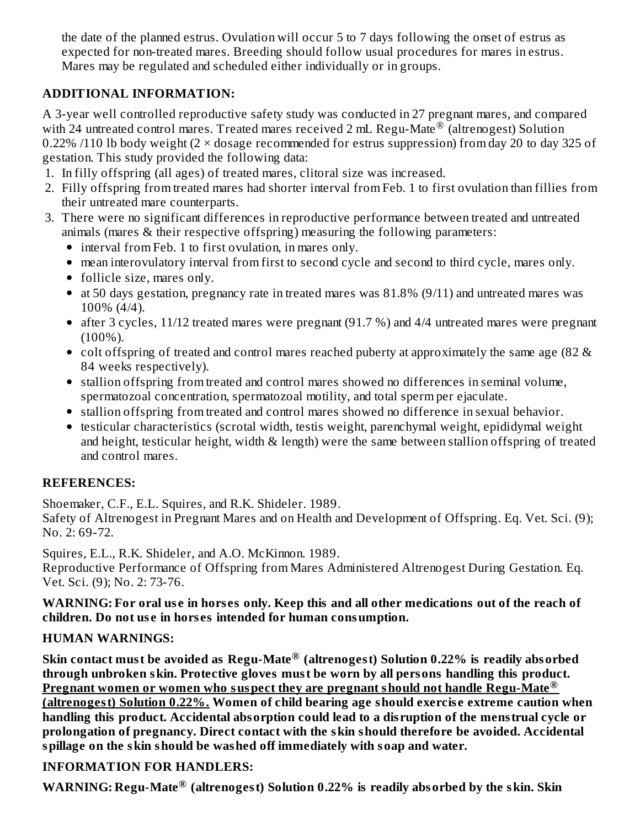the date of the planned estrus. Ovulation will occur 5 to 7 days following the onset of estrus as expected for non-treated mares. Breeding should follow usual procedures for mares in estrus. Mares may be regulated and scheduled either individually or in groups.

# **ADDITIONAL INFORMATION:**

A 3-year well controlled reproductive safety study was conducted in 27 pregnant mares, and compared with 24 untreated control mares. Treated mares received 2 mL Regu-Mate  $^\circ$  (altrenogest) Solution 0.22% /110 lb body weight ( $2 \times$  dosage recommended for estrus suppression) from day 20 to day 325 of gestation. This study provided the following data:

- 1. In filly offspring (all ages) of treated mares, clitoral size was increased.
- 2. Filly offspring from treated mares had shorter interval from Feb. 1 to first ovulation than fillies from their untreated mare counterparts.
- 3. There were no significant differences in reproductive performance between treated and untreated animals (mares & their respective offspring) measuring the following parameters:
	- interval from Feb. 1 to first ovulation, in mares only.
	- mean interovulatory interval from first to second cycle and second to third cycle, mares only.
	- follicle size, mares only.
	- at 50 days gestation, pregnancy rate in treated mares was 81.8% (9/11) and untreated mares was 100% (4/4).
	- after 3 cycles, 11/12 treated mares were pregnant (91.7 %) and 4/4 untreated mares were pregnant (100%).
	- colt offspring of treated and control mares reached puberty at approximately the same age (82 & 84 weeks respectively).
	- stallion offspring from treated and control mares showed no differences in seminal volume, spermatozoal concentration, spermatozoal motility, and total sperm per ejaculate.
	- stallion offspring from treated and control mares showed no difference in sexual behavior.
	- testicular characteristics (scrotal width, testis weight, parenchymal weight, epididymal weight and height, testicular height, width & length) were the same between stallion offspring of treated and control mares.

## **REFERENCES:**

Shoemaker, C.F., E.L. Squires, and R.K. Shideler. 1989.

Safety of Altrenogest in Pregnant Mares and on Health and Development of Offspring. Eq. Vet. Sci. (9); No. 2: 69-72.

Squires, E.L., R.K. Shideler, and A.O. McKinnon. 1989.

Reproductive Performance of Offspring from Mares Administered Altrenogest During Gestation. Eq. Vet. Sci. (9); No. 2: 73-76.

## WARNING: For oral use in horses only. Keep this and all other medications out of the reach of **children. Do not us e in hors es intended for human consumption.**

# **HUMAN WARNINGS:**

**Skin contact must be avoided as Regu-Mate (altrenogest) Solution 0.22% is readily absorbed ® through unbroken skin. Protective gloves must be worn by all persons handling this product. Pregnant women or women who suspect they are pregnant should not handle Regu-Mate ® (altrenogest) Solution 0.22%. Women of child bearing age should exercis e extreme caution when handling this product. Accidental absorption could lead to a dis ruption of the menstrual cycle or prolongation of pregnancy. Direct contact with the skin should therefore be avoided. Accidental spillage on the skin should be washed off immediately with soap and water.**

# **INFORMATION FOR HANDLERS:**

**WARNING: Regu-Mate (altrenogest) Solution 0.22% is readily absorbed by the skin. Skin ®**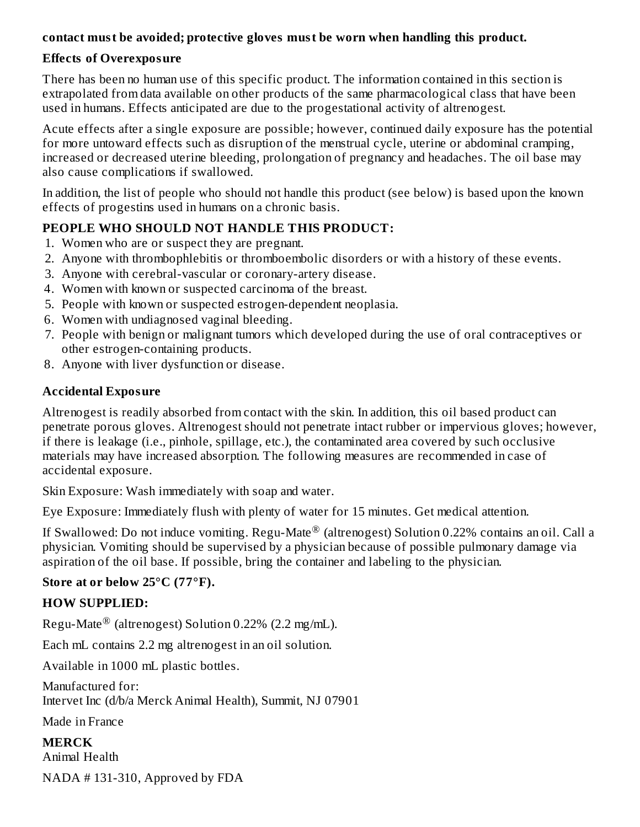## **contact must be avoided; protective gloves must be worn when handling this product.**

#### **Effects of Overexposure**

There has been no human use of this specific product. The information contained in this section is extrapolated from data available on other products of the same pharmacological class that have been used in humans. Effects anticipated are due to the progestational activity of altrenogest.

Acute effects after a single exposure are possible; however, continued daily exposure has the potential for more untoward effects such as disruption of the menstrual cycle, uterine or abdominal cramping, increased or decreased uterine bleeding, prolongation of pregnancy and headaches. The oil base may also cause complications if swallowed.

In addition, the list of people who should not handle this product (see below) is based upon the known effects of progestins used in humans on a chronic basis.

#### **PEOPLE WHO SHOULD NOT HANDLE THIS PRODUCT:**

- 1. Women who are or suspect they are pregnant.
- 2. Anyone with thrombophlebitis or thromboembolic disorders or with a history of these events.
- 3. Anyone with cerebral-vascular or coronary-artery disease.
- 4. Women with known or suspected carcinoma of the breast.
- 5. People with known or suspected estrogen-dependent neoplasia.
- 6. Women with undiagnosed vaginal bleeding.
- 7. People with benign or malignant tumors which developed during the use of oral contraceptives or other estrogen-containing products.
- 8. Anyone with liver dysfunction or disease.

## **Accidental Exposure**

Altrenogest is readily absorbed from contact with the skin. In addition, this oil based product can penetrate porous gloves. Altrenogest should not penetrate intact rubber or impervious gloves; however, if there is leakage (i.e., pinhole, spillage, etc.), the contaminated area covered by such occlusive materials may have increased absorption. The following measures are recommended in case of accidental exposure.

Skin Exposure: Wash immediately with soap and water.

Eye Exposure: Immediately flush with plenty of water for 15 minutes. Get medical attention.

If Swallowed: Do not induce vomiting. Regu-Mate $^\circledR$  (altrenogest) Solution 0.22% contains an oil. Call a physician. Vomiting should be supervised by a physician because of possible pulmonary damage via aspiration of the oil base. If possible, bring the container and labeling to the physician.

## **Store at or below 25°C (77°F).**

## **HOW SUPPLIED:**

Regu-Mate $^\circledR$  (altrenogest) Solution 0.22% (2.2 mg/mL).

Each mL contains 2.2 mg altrenogest in an oil solution.

Available in 1000 mL plastic bottles.

Manufactured for: Intervet Inc (d/b/a Merck Animal Health), Summit, NJ 07901

Made in France

**MERCK** Animal Health NADA # 131-310, Approved by FDA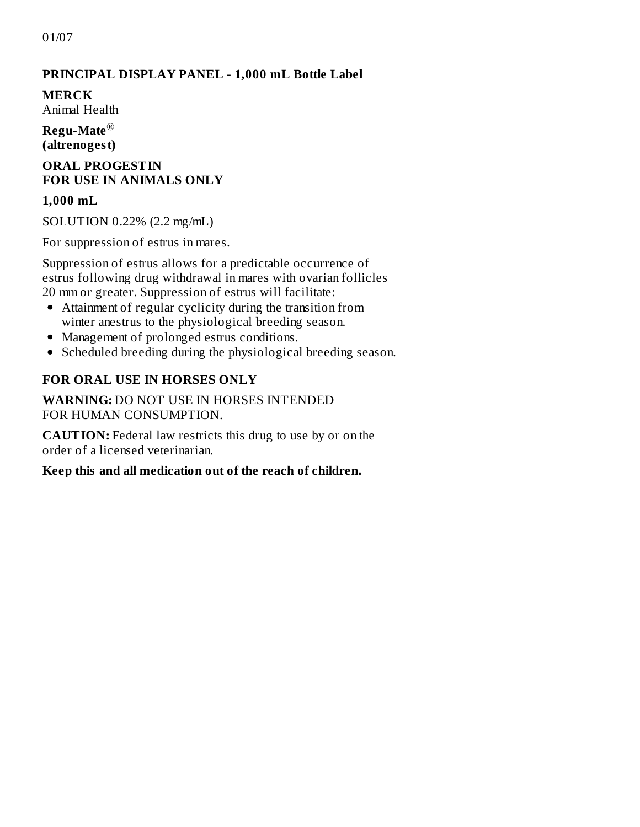01/07

#### **PRINCIPAL DISPLAY PANEL - 1,000 mL Bottle Label**

**MERCK** Animal Health

**Regu-Mate** ®**(altrenogest)**

#### **ORAL PROGESTIN FOR USE IN ANIMALS ONLY**

#### **1,000 mL**

SOLUTION 0.22% (2.2 mg/mL)

For suppression of estrus in mares.

Suppression of estrus allows for a predictable occurrence of estrus following drug withdrawal in mares with ovarian follicles 20 mm or greater. Suppression of estrus will facilitate:

- Attainment of regular cyclicity during the transition from winter anestrus to the physiological breeding season.
- Management of prolonged estrus conditions.
- Scheduled breeding during the physiological breeding season.

#### **FOR ORAL USE IN HORSES ONLY**

**WARNING:** DO NOT USE IN HORSES INTENDED FOR HUMAN CONSUMPTION.

**CAUTION:** Federal law restricts this drug to use by or on the order of a licensed veterinarian.

#### **Keep this and all medication out of the reach of children.**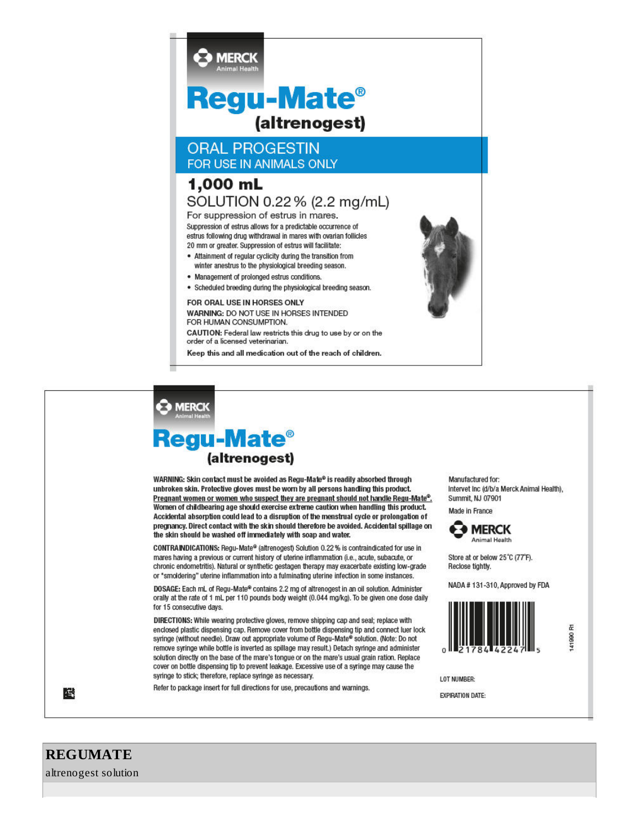

#### **B** MERCK

# Regu-Mate<sup>®</sup> (altrenogest)

WARNING: Skin contact must be avoided as Regu-Mate® is readily absorbed through unbroken skin. Protective gloves must be worn by all persons handling this product. Pregnant women or women who suspect they are pregnant should not handle Regu-Mate<sup>®</sup>. Women of childbearing age should exercise extreme caution when handling this product. Accidental absorption could lead to a disruption of the menstrual cycle or prolongation of pregnancy. Direct contact with the skin should therefore be avoided. Accidental spillage on the skin should be washed off immediately with soap and water.

CONTRAINDICATIONS: Regu-Mate® (altrenogest) Solution 0.22 % is contraindicated for use in mares having a previous or current history of uterine inflammation (i.e., acute, subacute, or chronic endometritis). Natural or synthetic gestagen therapy may exacerbate existing low-grade or \*smoldering" uterine inflammation into a fulminating uterine infection in some instances.

DOSAGE: Each mL of Regu-Mate® contains 2.2 mg of altrenogest in an oil solution. Administer orally at the rate of 1 mL per 110 pounds body weight (0.044 mg/kg). To be given one dose daily for 15 consecutive days.

DIRECTIONS: While wearing protective gloves, remove shipping cap and seal; replace with enclosed plastic dispensing cap. Remove cover from bottle dispensing tip and connect luer lock syringe (without needle). Draw out appropriate volume of Regu-Mate® solution. (Note: Do not remove syringe while bottle is inverted as spillage may result.) Detach syringe and administer solution directly on the base of the mare's tongue or on the mare's usual grain ration. Replace cover on bottle dispensing tip to prevent leakage. Excessive use of a syringe may cause the syringe to stick; therefore, replace syringe as necessary.

Refer to package insert for full directions for use, precautions and warnings.

Manufactured for: Intervet Inc (d/b/a Merck Animal Health), Summit, NJ 07901

Made in France



Store at or below 25°C (77°F). Reclose tightly.

NADA #131-310, Approved by FDA



E 41990

LOT NUMBER:

**EXPIRATION DATE:** 

## **REGUMATE**

鸕

altrenogest solution